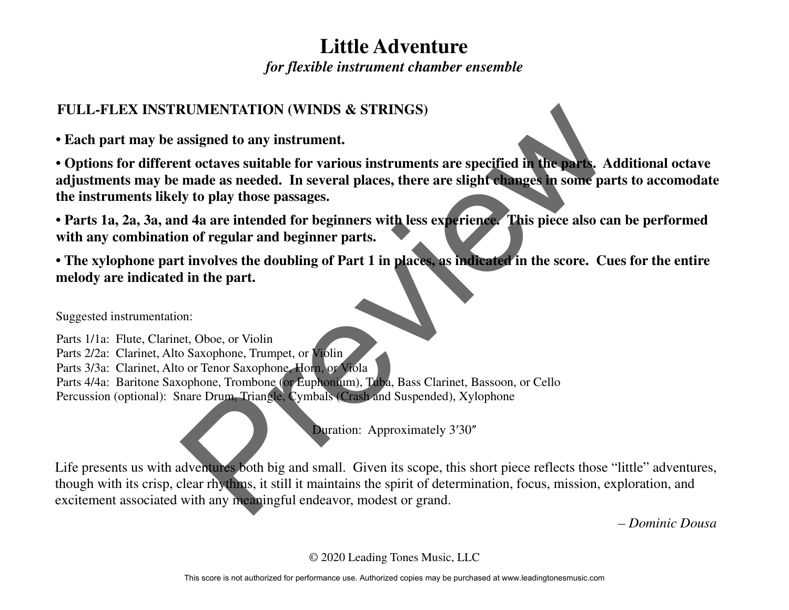## **Little Adventure**

*for flexible instrument chamber ensemble*

## **FULL-FLEX INSTRUMENTATION (WINDS & STRINGS)**

**• Each part may be assigned to any instrument.**

**• Options for different octaves suitable for various instruments are specified in the parts. Additional octave adjustments may be made as needed. In several places, there are slight changes in some parts to accomodatethe instruments likely to play those passages.**RUMENTATION (WINDS & STRINGS)<br>
assigned to any instrument.<br>
In octaves suitable for various instruments are specified in the parts. A<br>
made as needed. In several places, there are slight changes in some pair<br>
of a are inte

**• Parts 1a, 2a, 3a, and 4a are intended for beginners with less experience. This piece also can be performedwith any combination of regular and beginner parts.**

**• The xylophone part involves the doubling of Part 1 in places, as indicated in the score. Cues for the entiremelody are indicated in the part.**

Suggested instrumentation:

Parts 1/1a: Flute, Clarinet, Oboe, or Violin

Parts 2/2a: Clarinet, Alto Saxophone, Trumpet, or Violin

Parts 3/3a: Clarinet, Alto or Tenor Saxophone, Horn, or Viola

 Parts 4/4a: Baritone Saxophone, Trombone (or Euphonium), Tuba, Bass Clarinet, Bassoon, or CelloPercussion (optional): Snare Drum, Triangle, Cymbals (Crash and Suspended), Xylophone

Duration: Approximately 3'30"

Life presents us with adventures both big and small. Given its scope, this short piece reflects those "little" adventures, though with its crisp, clear rhythms, it still it maintains the spirit of determination, focus, mission, exploration, and excitement associated with any meaningful endeavor, modest or grand.

*– Dominic Dousa*

© 2020 Leading Tones Music, LLC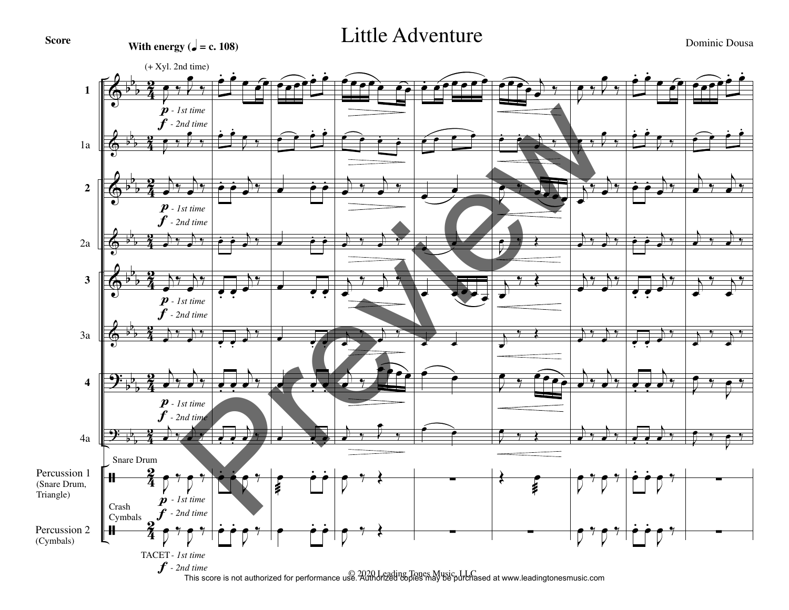

Dominic Dousa



**With energy (** $\sqrt{ }$  **= c. 108)** 

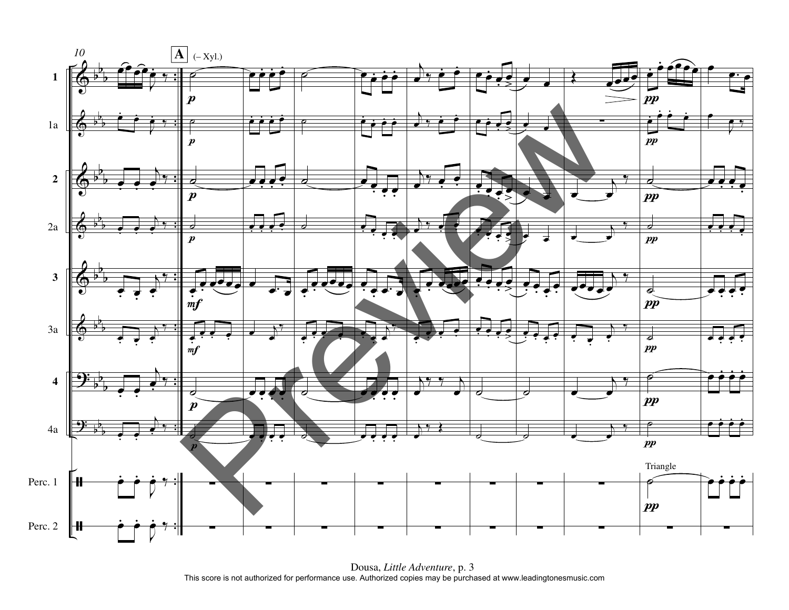

Dousa, Little Adventure, p. 3<br>This score is not authorized for performance use. Authorized copies may be purchased at www.leadingtonesmusic.com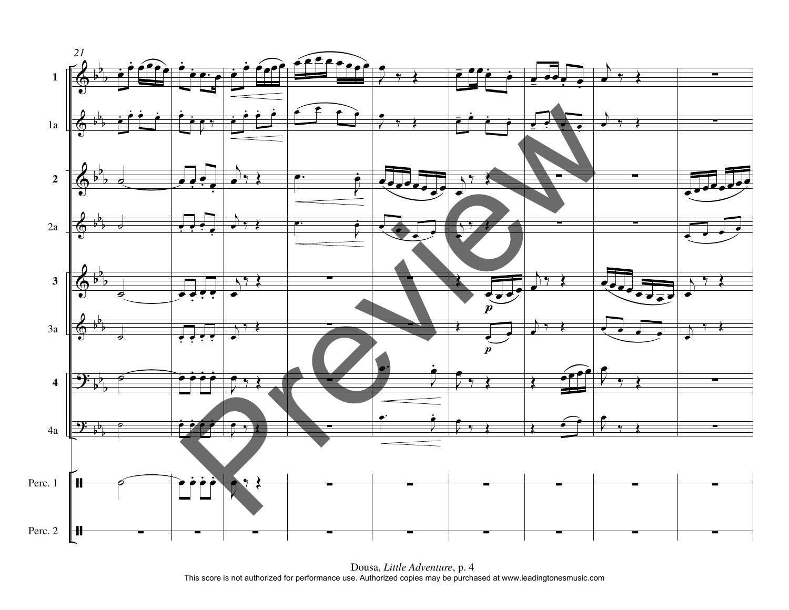

Dousa, *Little Adventure*, p. 4 This score is not authorized for performance use. Authorized copies may be purchased at www.leadingtonesmusic.com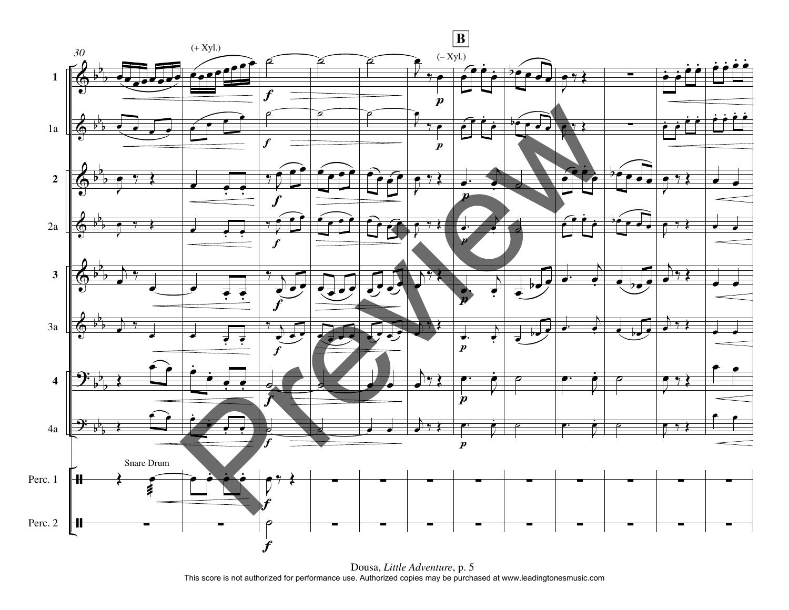

Dousa, *Little Adventure*, p. 5 This score is not authorized for performance use. Authorized copies may be purchased at www.leadingtonesmusic.com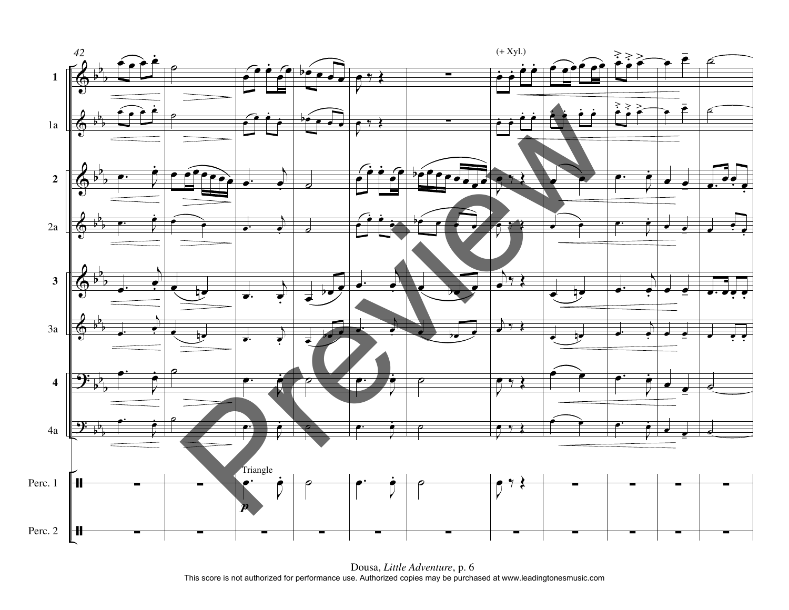

Dousa, *Little Adventure*, p. 6 This score is not authorized for performance use. Authorized copies may be purchased at www.leadingtonesmusic.com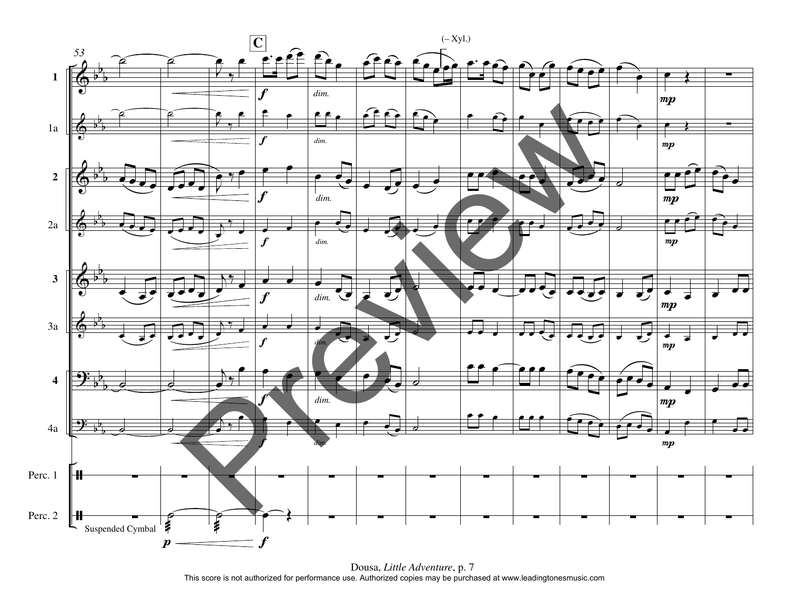

Dousa, *Little Adventure*, p. 7 This score is not authorized for performance use. Authorized copies may be purchased at www.leadingtonesmusic.com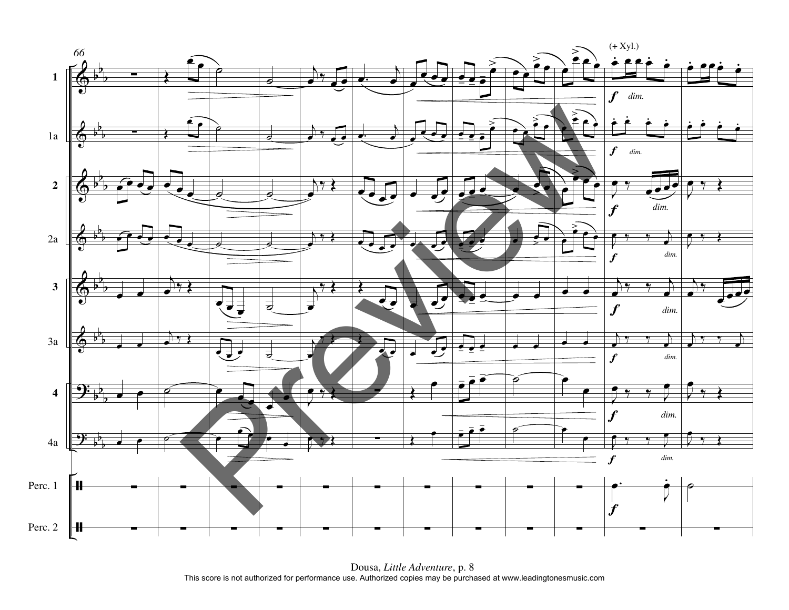

Dousa, *Little Adventure*, p. 8 This score is not authorized for performance use. Authorized copies may be purchased at www.leadingtonesmusic.com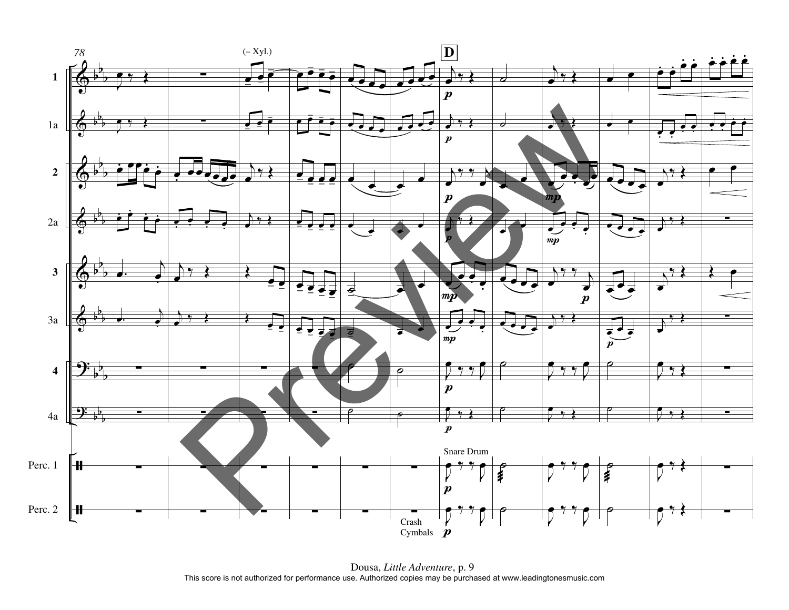

Dousa, *Little Adventure*, p. 9 This score is not authorized for performance use. Authorized copies may be purchased at www.leadingtonesmusic.com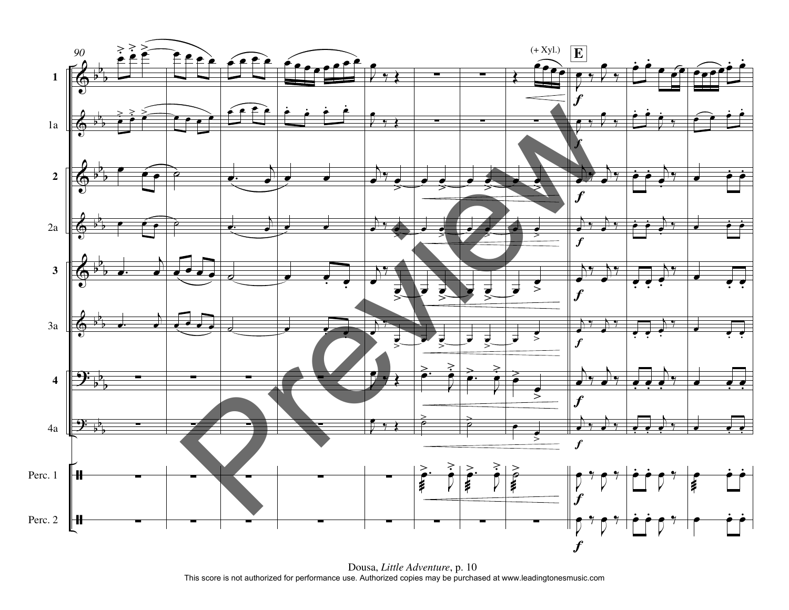

Dousa, *Little Adventure*, p. 10 This score is not authorized for performance use. Authorized copies may be purchased at www.leadingtonesmusic.com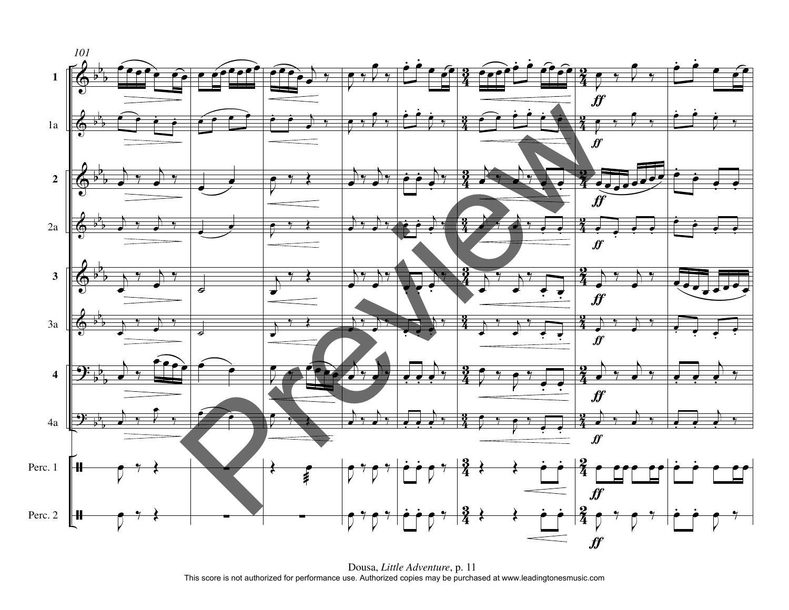

Dousa, *Little Adventure*, p. 11 This score is not authorized for performance use. Authorized copies may be purchased at www.leadingtonesmusic.com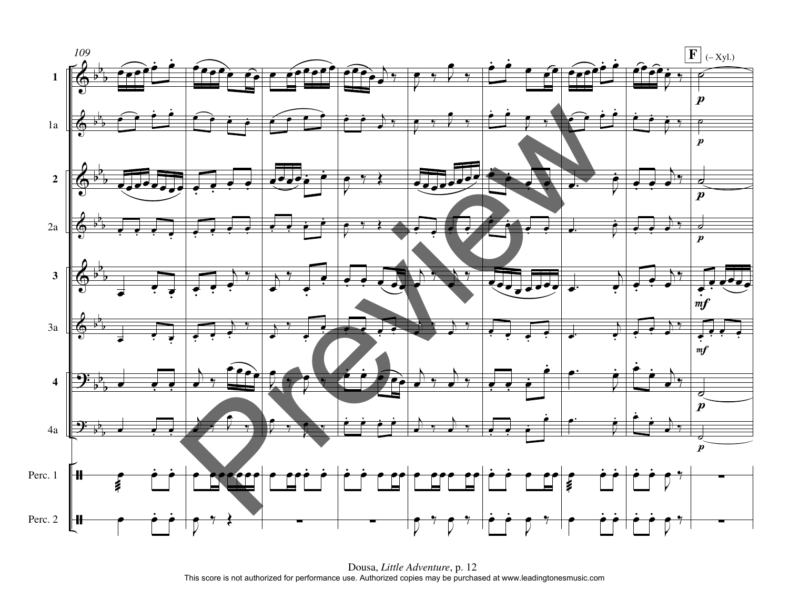

Dousa, Little Adventure, p. 12<br>This score is not authorized for performance use. Authorized copies may be purchased at www.leadingtonesmusic.com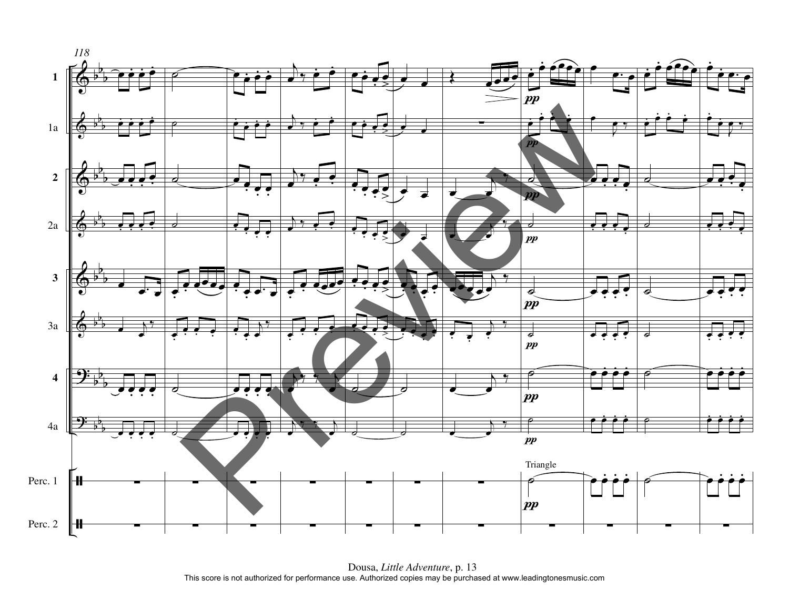

Dousa, Little Adventure, p. 13<br>This score is not authorized for performance use. Authorized copies may be purchased at www.leadingtonesmusic.com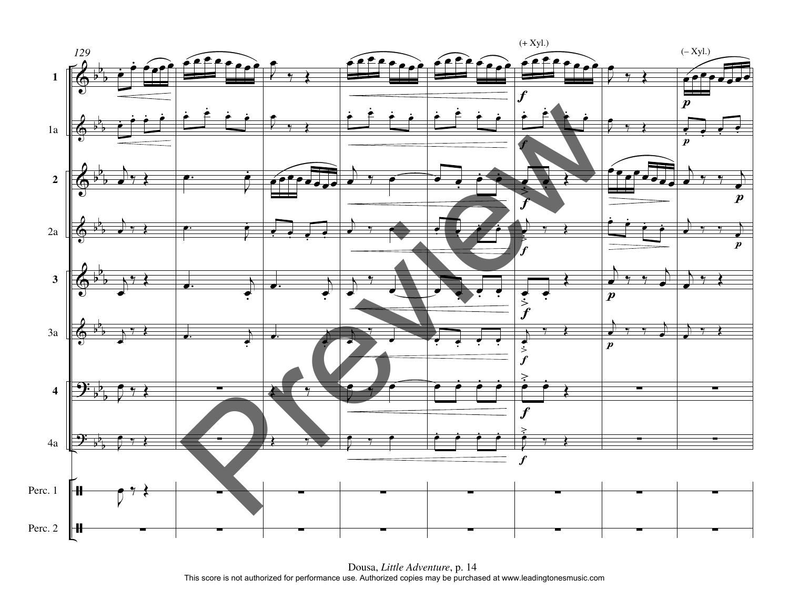

Dousa, *Little Adventure*, p. 14 This score is not authorized for performance use. Authorized copies may be purchased at www.leadingtonesmusic.com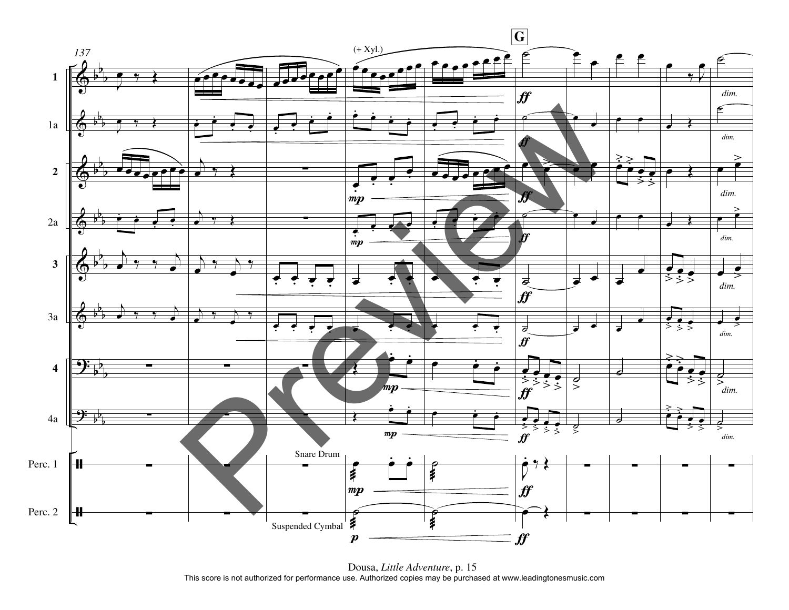

Dousa, *Little Adventure*, p. 15 This score is not authorized for performance use. Authorized copies may be purchased at www.leadingtonesmusic.com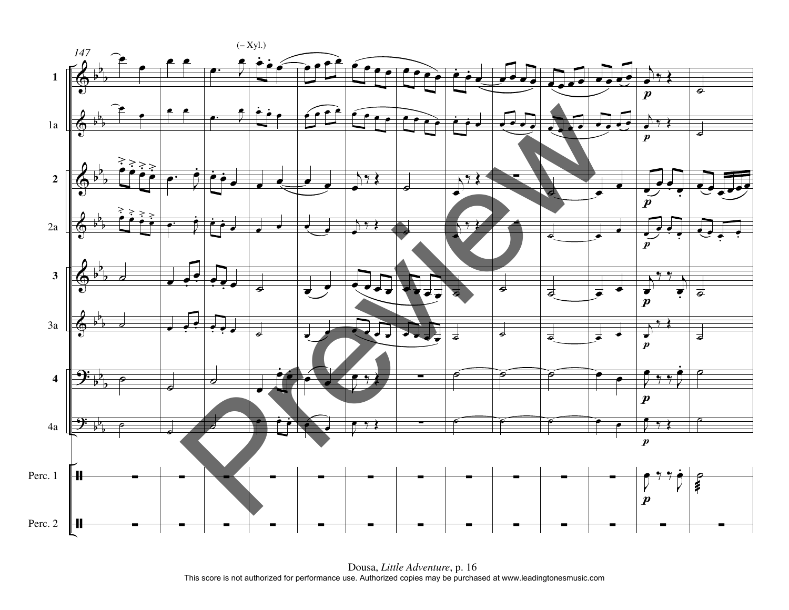

Dousa, *Little Adventure*, p. 16 This score is not authorized for performance use. Authorized copies may be purchased at www.leadingtonesmusic.com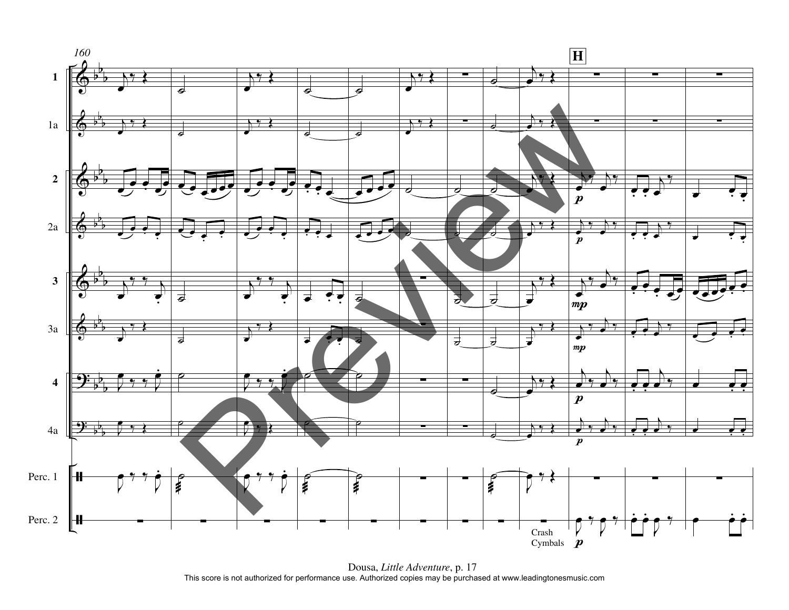

Dousa, *Little Adventure*, p. 17 This score is not authorized for performance use. Authorized copies may be purchased at www.leadingtonesmusic.com